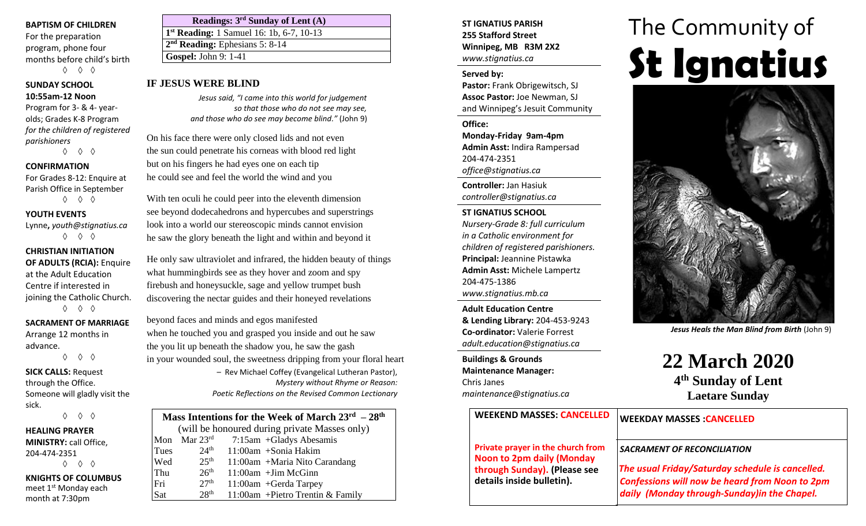### **BAPTISM OF CHILDREN**

For the preparation program, phone four months before child's birth ◊ ◊ ◊

## **SUNDAY SCHOOL 10:55am-12 Noon**

Program for 3- & 4- yearolds; Grades K-8 Program *for the children of registered parishioners*

◊ ◊ ◊

## **CONFIRMATION**

For Grades 8-12: Enquire at Parish Office in September ◊ ◊ ◊

## **YOUTH EVENTS**

Lynne**,** *youth@stignatius.ca* ◊ ◊ ◊

# **CHRISTIAN INITIATION**

**OF ADULTS (RCIA):** Enquire at the Adult Education Centre if interested in joining the Catholic Church. ◊ ◊ ◊

## **SACRAMENT OF MARRIAGE**

Arrange 12 months in advance. ◊ ◊ ◊

**SICK CALLS:** Request through the Office. Someone will gladly visit the sick.

◊ ◊ ◊

## **HEALING PRAYER MINISTRY:** call Office, 204-474-2351 ◊ ◊ ◊ **KNIGHTS OF COLUMBUS**

meet 1st Monday each month at 7:30pm

| Readings: $3rd$ Sunday of Lent (A)                   |
|------------------------------------------------------|
| 1 <sup>st</sup> Reading: 1 Samuel 16: 1b, 6-7, 10-13 |
| $2nd$ Reading: Ephesians 5: 8-14                     |
| <b>Gospel: John 9: 1-41</b>                          |
|                                                      |

*Jesus said, "I came into this world for judgement so that those who do not see may see, and those who do see may become blind."* (John 9)

On his face there were only closed lids and not even the sun could penetrate his corneas with blood red light but on his fingers he had eyes one on each tip he could see and feel the world the wind and you

With ten oculi he could peer into the eleventh dimension see beyond dodecahedrons and hypercubes and superstrings look into a world our stereoscopic minds cannot envision he saw the glory beneath the light and within and beyond it

He only saw ultraviolet and infrared, the hidden beauty of things what hummingbirds see as they hover and zoom and spy firebush and honeysuckle, sage and yellow trumpet bush discovering the nectar guides and their honeyed revelations

beyond faces and minds and egos manifested when he touched you and grasped you inside and out he saw the you lit up beneath the shadow you, he saw the gash in your wounded soul, the sweetness dripping from your floral heart – Rev Michael Coffey (Evangelical Lutheran Pastor),

*Mystery without Rhyme or Reason: Poetic Reflections on the Revised Common Lectionary*

| Mass Intentions for the Week of March $23^{\text{rd}} - 28^{\text{th}}$ |                          |                                   |  |  |
|-------------------------------------------------------------------------|--------------------------|-----------------------------------|--|--|
| (will be honoured during private Masses only)                           |                          |                                   |  |  |
|                                                                         | Mon Mar $23^{\text{rd}}$ | 7:15am +Gladys Abesamis           |  |  |
| Tues                                                                    | 24 <sup>th</sup>         | $11:00$ am +Sonia Hakim           |  |  |
| Wed                                                                     | 25 <sup>th</sup>         | 11:00am +Maria Nito Carandang     |  |  |
| Thu                                                                     | 26 <sup>th</sup>         | $11:00$ am + Jim McGinn           |  |  |
| Fri                                                                     | 27 <sup>th</sup>         | $11:00$ am + Gerda Tarpey         |  |  |
| Sat                                                                     | 28 <sup>th</sup>         | 11:00am + Pietro Trentin & Family |  |  |

## **ST IGNATIUS PARISH 255 Stafford Street Winnipeg, MB R3M 2X2** *www.stignatius.ca*

## **Served by:**

**Pastor:** Frank Obrigewitsch, SJ **Assoc Pastor:** Joe Newman, SJ and Winnipeg's Jesuit Community

**Office: Monday-Friday 9am-4pm Admin Asst:** Indira Rampersad 204-474-2351 *office@stignatius.ca*

**Controller:** Jan Hasiuk *controller@stignatius.ca*

## **ST IGNATIUS SCHOOL**

*Nursery-Grade 8: full curriculum in a Catholic environment for children of registered parishioners.* **Principal:** Jeannine Pistawka **Admin Asst:** Michele Lampertz 204-475-1386 *www.stignatius.mb.ca*

**Adult Education Centre & Lending Library:** 204-453-9243 **Co-ordinator:** Valerie Forrest *adult.education@stignatius.ca*

**Buildings & Grounds Maintenance Manager:**  Chris Janes *maintenance@stignatius.ca*

# **Solution** Branch Cospel: John 9: 1-41<br> **IF JESUS WERE BLIND**<br> **Streed by:**<br> **Streed by:**<br>
Pastor: Frank Obrigewitsch. SJ The Community of



*Jesus Heals the Man Blind from Birth* (John 9)

**22 March 2020 4 th Sunday of Lent Laetare Sunday**

| <b>WEEKEND MASSES: CANCELLED</b>                                      | <b>WEEKDAY MASSES : CANCELLED</b>                                                                                                                         |
|-----------------------------------------------------------------------|-----------------------------------------------------------------------------------------------------------------------------------------------------------|
| Private prayer in the church from<br><b>Noon to 2pm daily (Monday</b> | <b>SACRAMENT OF RECONCILIATION</b>                                                                                                                        |
| through Sunday). (Please see<br>details inside bulletin).             | The usual Friday/Saturday schedule is cancelled.<br><b>Confessions will now be heard from Noon to 2pm</b><br>daily (Monday through-Sunday) in the Chapel. |